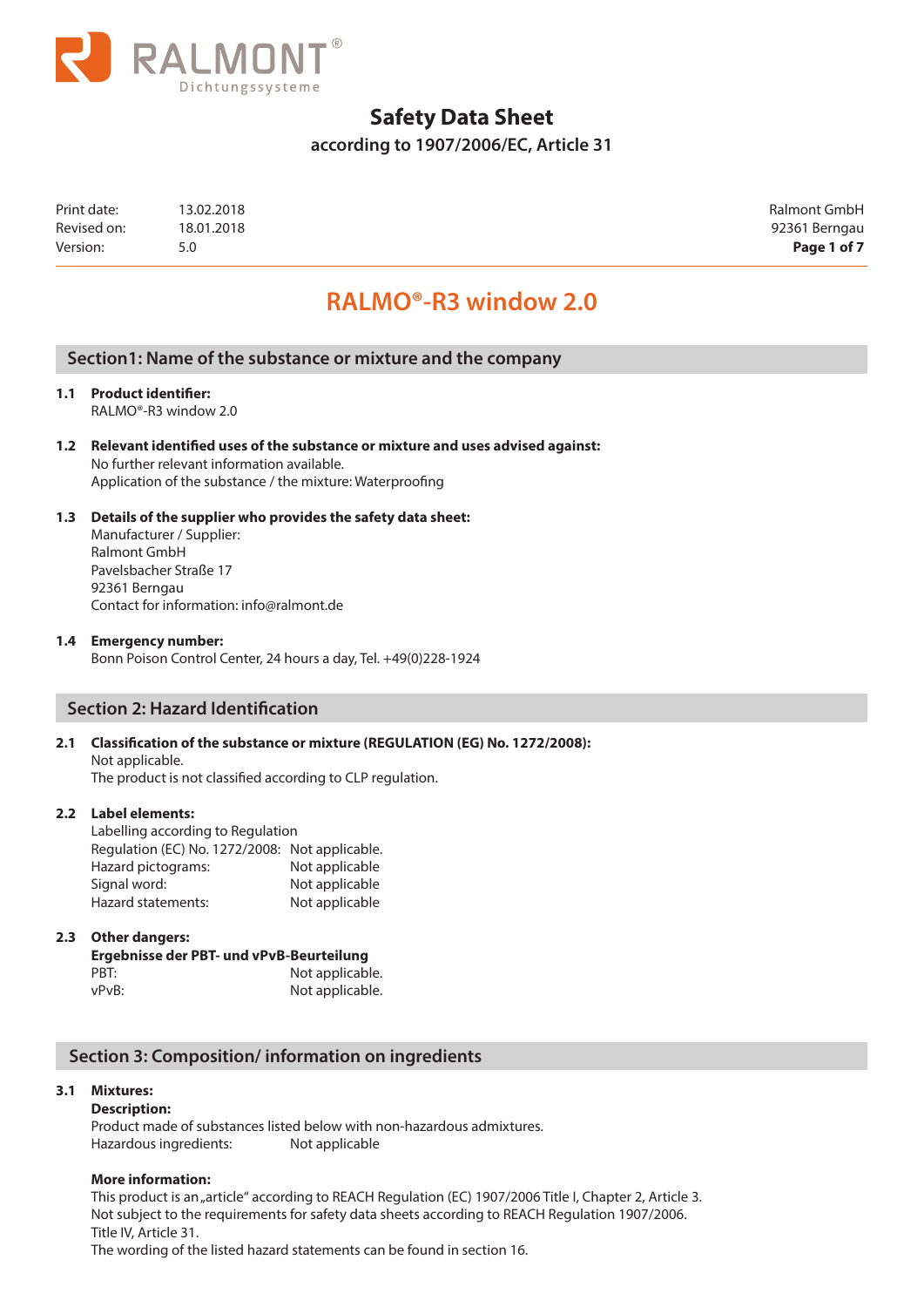

**according to 1907/2006/EC, Article 31**

| Print date:<br>Revised on: | 13.02.2018<br>18.01.2018 | Ralmont GmbH  |
|----------------------------|--------------------------|---------------|
|                            |                          | 92361 Berngau |
| Version:                   |                          | Page 1 of 7   |

92361 Berngau

# **RALMO®-R3 window 2.0**

# **Section1: Name of the substance or mixture and the company**

**1.1 Product identifier:**

RALMO®-R3 window 2.0

- **1.2 Relevant identified uses of the substance or mixture and uses advised against:**  No further relevant information available. Application of the substance / the mixture: Waterproofing
- **1.3 Details of the supplier who provides the safety data sheet:** Manufacturer / Supplier:

Ralmont GmbH Pavelsbacher Straße 17 92361 Berngau Contact for information: info@ralmont.de

#### **1.4 Emergency number:**

Bonn Poison Control Center, 24 hours a day, Tel. +49(0)228-1924

# **Section 2: Hazard Identification**

#### **2.1 Classification of the substance or mixture (REGULATION (EG) No. 1272/2008):**

Not applicable. The product is not classified according to CLP regulation.

#### **2.2 Label elements:**

Labelling according to Regulation Regulation (EC) No. 1272/2008: Not applicable. Hazard pictograms: Not applicable Signal word: Not applicable Hazard statements: Not applicable

#### **2.3 Other dangers:**

|       | Ergebnisse der PBT- und vPvB-Beurteilung |
|-------|------------------------------------------|
| PBT:  | Not applicable.                          |
| vPvB: | Not applicable.                          |

# **Section 3: Composition/ information on ingredients**

### **3.1 Mixtures:**

**Description:**  Product made of substances listed below with non-hazardous admixtures. Hazardous ingredients: Not applicable

#### **More information:**

This product is an "article" according to REACH Regulation (EC) 1907/2006 Title I, Chapter 2, Article 3. Not subject to the requirements for safety data sheets according to REACH Regulation 1907/2006. Title IV, Article 31.

The wording of the listed hazard statements can be found in section 16.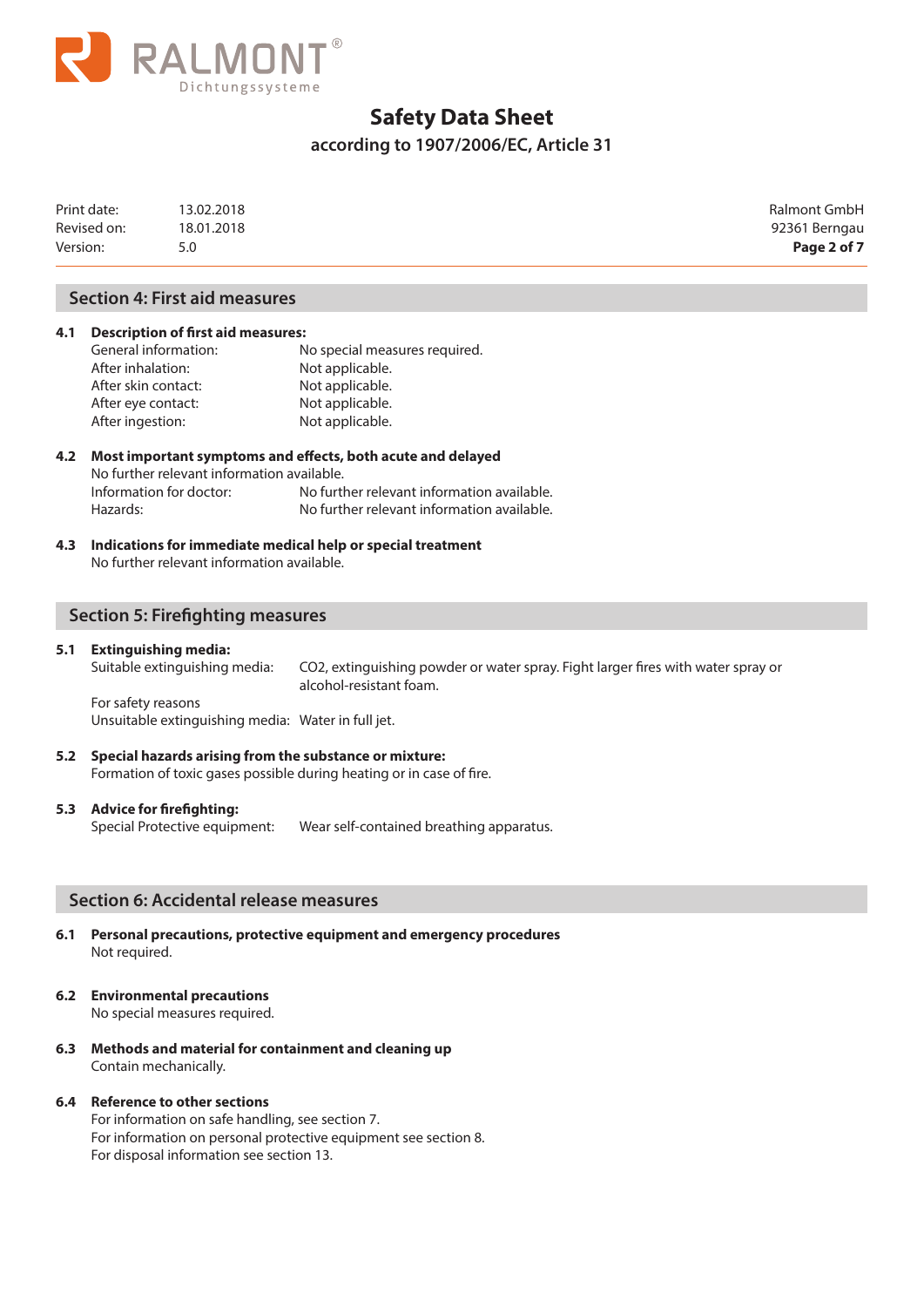

# **according to 1907/2006/EC, Article 31**

| Version:    |            | Page 2 of 7   |
|-------------|------------|---------------|
| Revised on: | 18.01.2018 | 92361 Berngau |
| Print date: | 13.02.2018 | Ralmont GmbH  |

92361 Berngau

### **Section 4: First aid measures**

#### **4.1 Description of first aid measures:**

| General information: | No special measures required. |
|----------------------|-------------------------------|
| After inhalation:    | Not applicable.               |
| After skin contact:  | Not applicable.               |
| After eye contact:   | Not applicable.               |
| After ingestion:     | Not applicable.               |

### **4.2 Most important symptoms and effects, both acute and delayed**

No further relevant information available. Information for doctor: No further relevant information available. Hazards: No further relevant information available.

**4.3 Indications for immediate medical help or special treatment** No further relevant information available.

# **Section 5: Firefighting measures**

**5.1 Extinguishing media:** CO2, extinguishing powder or water spray. Fight larger fires with water spray or alcohol-resistant foam.

For safety reasons Unsuitable extinguishing media: Water in full jet.

**5.2 Special hazards arising from the substance or mixture:** Formation of toxic gases possible during heating or in case of fire.

#### **5.3 Advice for firefighting:**

Special Protective equipment: Wear self-contained breathing apparatus.

# **Section 6: Accidental release measures**

- **6.1 Personal precautions, protective equipment and emergency procedures** Not required.
- **6.2 Environmental precautions**

No special measures required.

**6.3 Methods and material for containment and cleaning up** Contain mechanically.

#### **6.4 Reference to other sections**

For information on safe handling, see section 7. For information on personal protective equipment see section 8. For disposal information see section 13.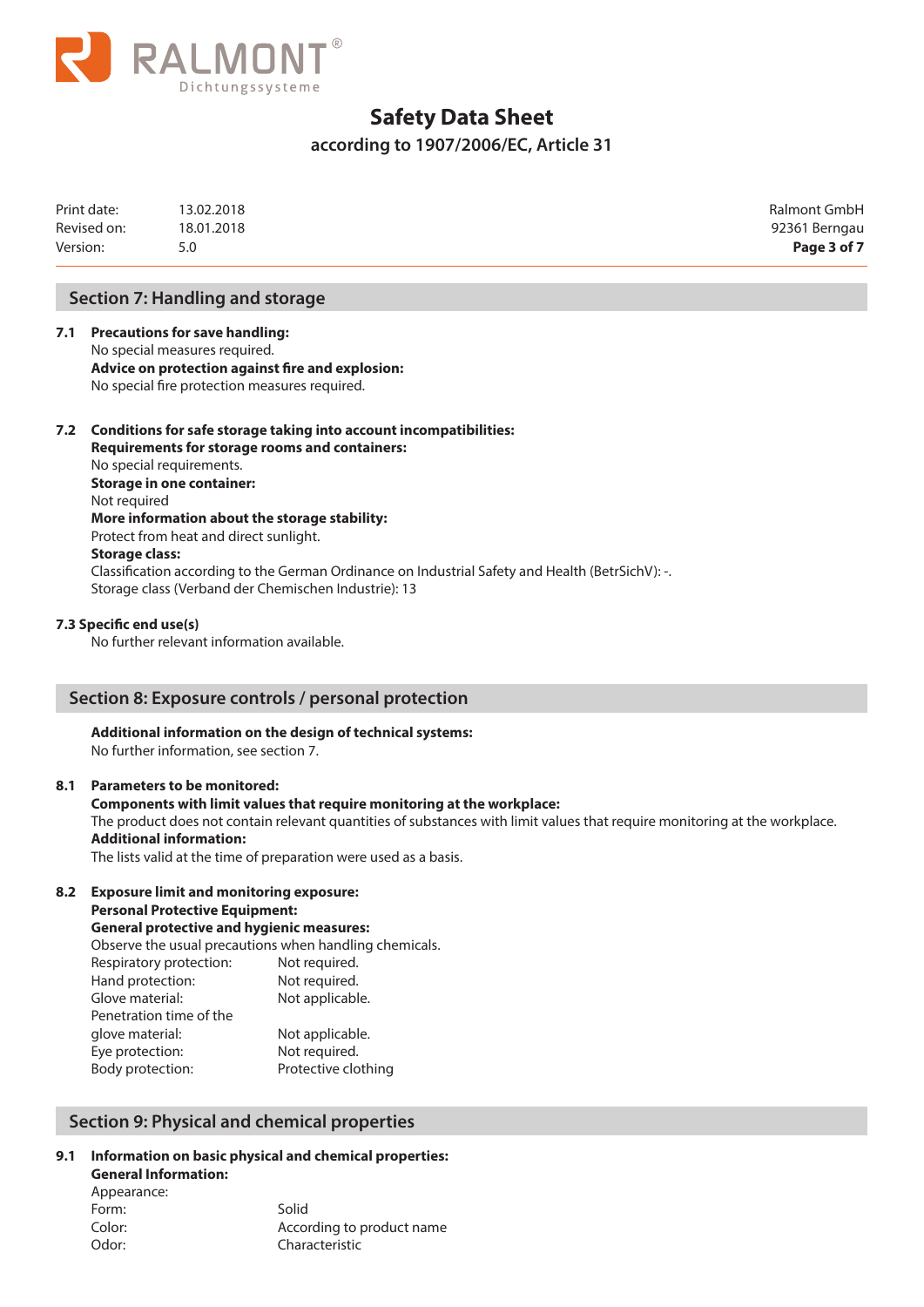

# **according to 1907/2006/EC, Article 31**

| Version:    |            | Page 3 of 7   |
|-------------|------------|---------------|
| Revised on: | 18.01.2018 | 92361 Berngau |
| Print date: | 13.02.2018 | Ralmont GmbH  |

92361 Berngau

# **Section 7: Handling and storage**

- **7.1 Precautions for save handling:** No special measures required. **Advice on protection against fire and explosion:**  No special fire protection measures required.
- **7.2 Conditions for safe storage taking into account incompatibilities: Requirements for storage rooms and containers:**  No special requirements. **Storage in one container:**  Not required **More information about the storage stability:**  Protect from heat and direct sunlight. **Storage class:** Classification according to the German Ordinance on Industrial Safety and Health (BetrSichV): -. Storage class (Verband der Chemischen Industrie): 13

#### **7.3 Specific end use(s)**

No further relevant information available.

#### **Section 8: Exposure controls / personal protection**

**Additional information on the design of technical systems:** No further information, see section 7.

#### **8.1 Parameters to be monitored:**

#### **Components with limit values that require monitoring at the workplace:**

The product does not contain relevant quantities of substances with limit values that require monitoring at the workplace. **Additional information:** 

The lists valid at the time of preparation were used as a basis.

#### **8.2 Exposure limit and monitoring exposure: Personal Protective Equipment:**

**General protective and hygienic measures:** Observe the usual precautions when handling chemicals. Respiratory protection: Not required. Hand protection: Not required. Glove material: Not applicable. Penetration time of the glove material: Not applicable. Eye protection: Not required. Body protection: Protective clothing

# **Section 9: Physical and chemical properties**

### **9.1 Information on basic physical and chemical properties:**

**General Information:**

| Appearance: |                           |
|-------------|---------------------------|
| Form:       | Solid                     |
| Color:      | According to product name |
| Odor:       | Characteristic            |
|             |                           |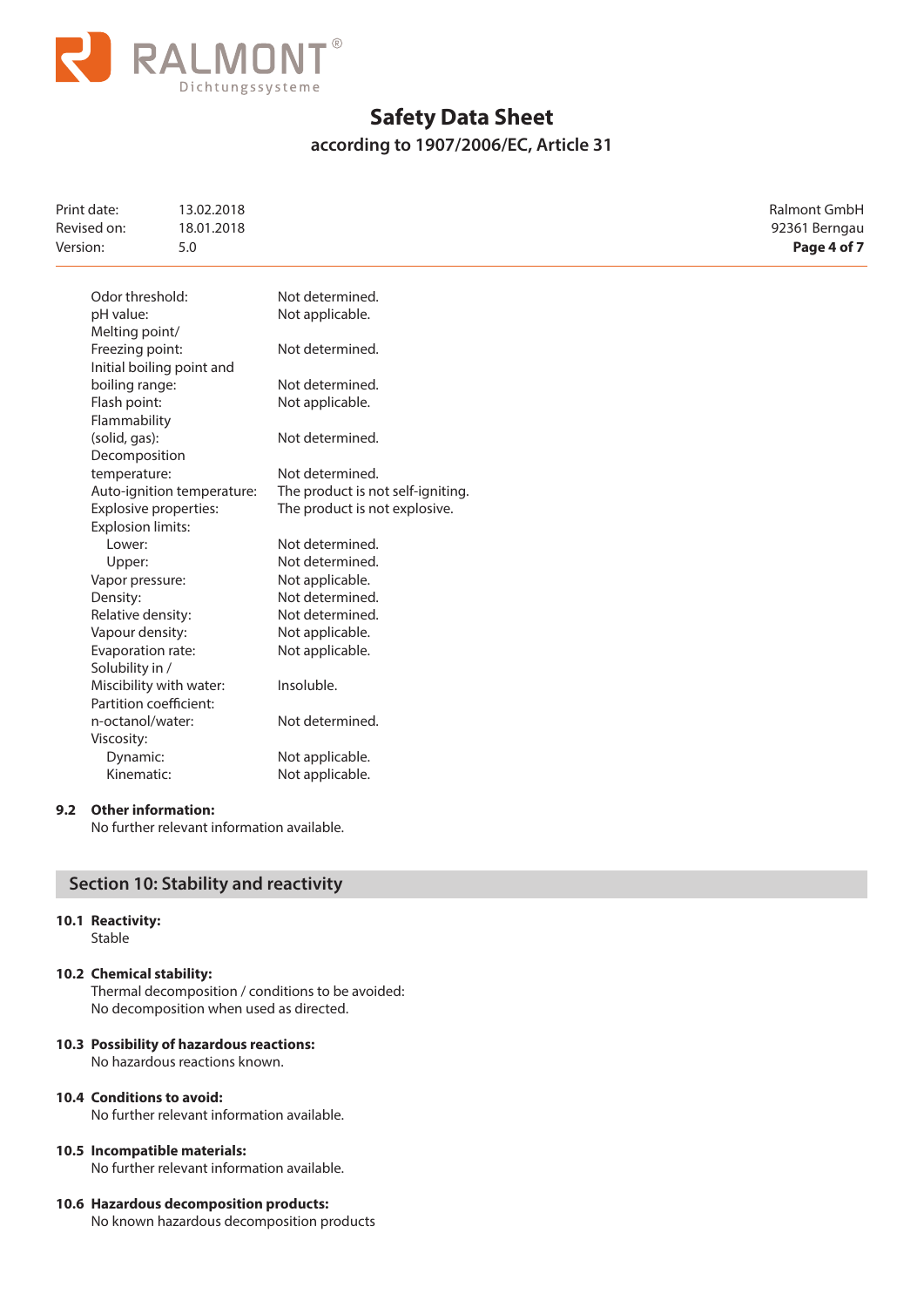

**according to 1907/2006/EC, Article 31**

| Print date:<br>Revised on:<br>Version: | 13.02.2018<br>18.01.2018<br>5.0 |                                   | Ralmont GmbH<br>92361 Berngau<br>Page 4 of 7 |
|----------------------------------------|---------------------------------|-----------------------------------|----------------------------------------------|
| Odor threshold:                        |                                 | Not determined.                   |                                              |
| pH value:                              |                                 | Not applicable.                   |                                              |
| Melting point/                         |                                 |                                   |                                              |
| Freezing point:                        |                                 | Not determined.                   |                                              |
|                                        | Initial boiling point and       |                                   |                                              |
| boiling range:                         |                                 | Not determined.                   |                                              |
| Flash point:                           |                                 | Not applicable.                   |                                              |
| Flammability                           |                                 |                                   |                                              |
| (solid, gas):                          |                                 | Not determined.                   |                                              |
| Decomposition                          |                                 |                                   |                                              |
| temperature:                           |                                 | Not determined.                   |                                              |
|                                        | Auto-ignition temperature:      | The product is not self-igniting. |                                              |
|                                        | Explosive properties:           | The product is not explosive.     |                                              |
| <b>Explosion limits:</b>               |                                 |                                   |                                              |
| Lower:                                 |                                 | Not determined.                   |                                              |
| Upper:                                 |                                 | Not determined.                   |                                              |
| Vapor pressure:                        |                                 | Not applicable.                   |                                              |
| Density:                               |                                 | Not determined.                   |                                              |
| Relative density:                      |                                 | Not determined.                   |                                              |
| Vapour density:                        |                                 | Not applicable.                   |                                              |
| Evaporation rate:                      |                                 | Not applicable.                   |                                              |
| Solubility in /                        |                                 |                                   |                                              |
|                                        | Miscibility with water:         | Insoluble.                        |                                              |
|                                        | Partition coefficient:          |                                   |                                              |
| n-octanol/water:                       |                                 | Not determined.                   |                                              |
| Viscosity:                             |                                 |                                   |                                              |
| Dynamic:                               |                                 | Not applicable.                   |                                              |
| Kinematic:                             |                                 | Not applicable.                   |                                              |

#### **9.2 Other information:**

No further relevant information available.

# **Section 10: Stability and reactivity**

# **10.1 Reactivity:**

Stable

#### **10.2 Chemical stability:**

Thermal decomposition / conditions to be avoided: No decomposition when used as directed.

#### **10.3 Possibility of hazardous reactions:**

No hazardous reactions known.

#### **10.4 Conditions to avoid:**

No further relevant information available.

#### **10.5 Incompatible materials:**

No further relevant information available.

# **10.6 Hazardous decomposition products:**

No known hazardous decomposition products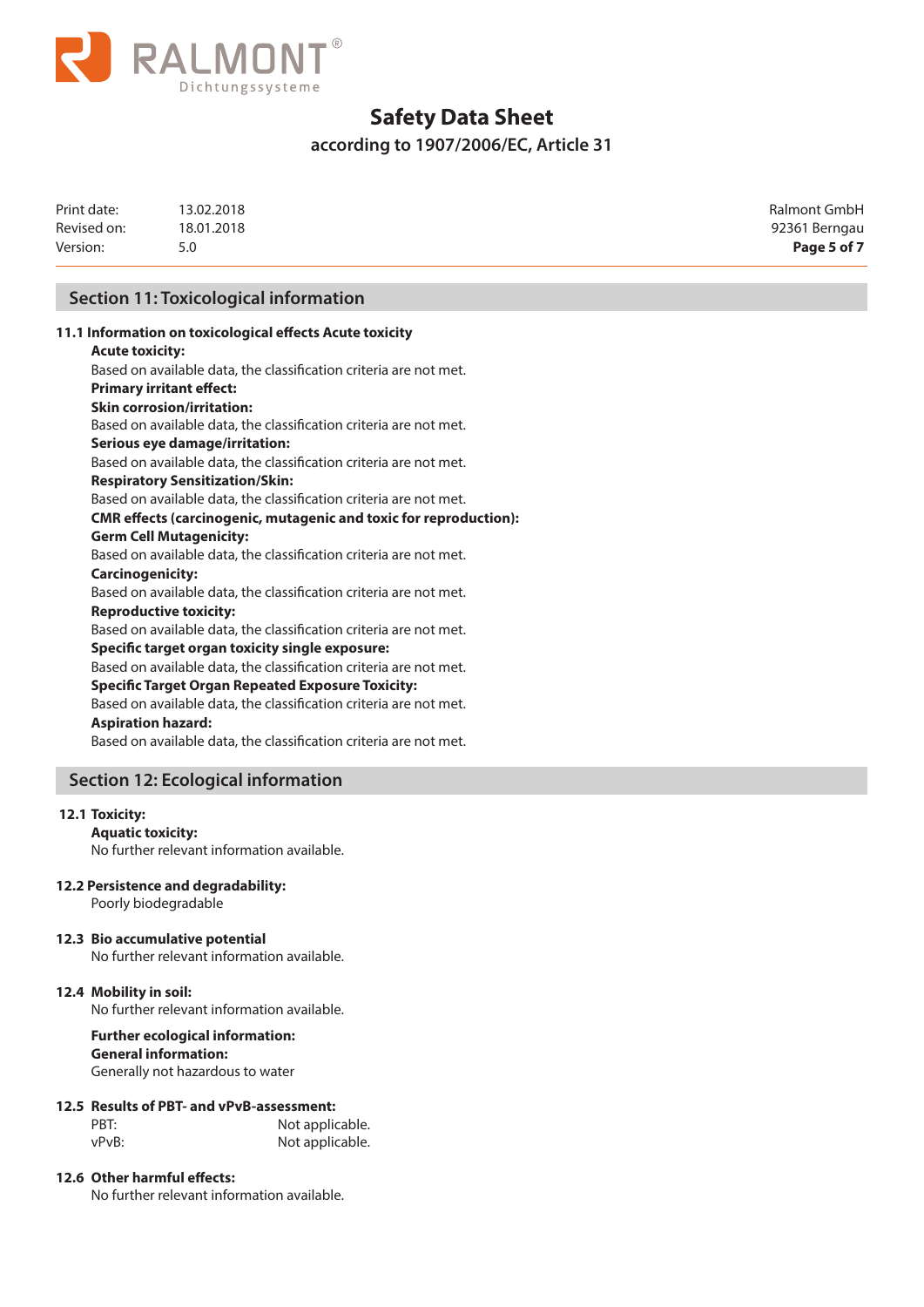

**according to 1907/2006/EC, Article 31**

| Print date: | 13.02.2018 | Ralmont GmbH  |
|-------------|------------|---------------|
| Revised on: | 18.01.2018 | 92361 Berngau |
| Version:    |            | Page 5 of 7   |

Ralmont GmbH 92361 Berngau

# **Section 11: Toxicological information**

# **11.1 Information on toxicological effects Acute toxicity Acute toxicity:**  Based on available data, the classification criteria are not met. **Primary irritant effect: Skin corrosion/irritation:** Based on available data, the classification criteria are not met. **Serious eye damage/irritation:** Based on available data, the classification criteria are not met. **Respiratory Sensitization/Skin:** Based on available data, the classification criteria are not met. **CMR effects (carcinogenic, mutagenic and toxic for reproduction): Germ Cell Mutagenicity:** Based on available data, the classification criteria are not met. **Carcinogenicity:** Based on available data, the classification criteria are not met. **Reproductive toxicity:** Based on available data, the classification criteria are not met. **Specific target organ toxicity single exposure:** Based on available data, the classification criteria are not met. **Specific Target Organ Repeated Exposure Toxicity:** Based on available data, the classification criteria are not met. **Aspiration hazard:** Based on available data, the classification criteria are not met.

# **Section 12: Ecological information**

#### **12.1 Toxicity:**

#### **Aquatic toxicity:**

No further relevant information available.

#### **12.2 Persistence and degradability:**

Poorly biodegradable

#### **12.3 Bio accumulative potential**

No further relevant information available.

#### **12.4 Mobility in soil:**

No further relevant information available.

#### **Further ecological information: General information:**

Generally not hazardous to water

#### **12.5 Results of PBT- and vPvB-assessment:**

| PRT:  | Not applicable. |
|-------|-----------------|
| vPvB: | Not applicable. |

#### **12.6 Other harmful effects:**

No further relevant information available.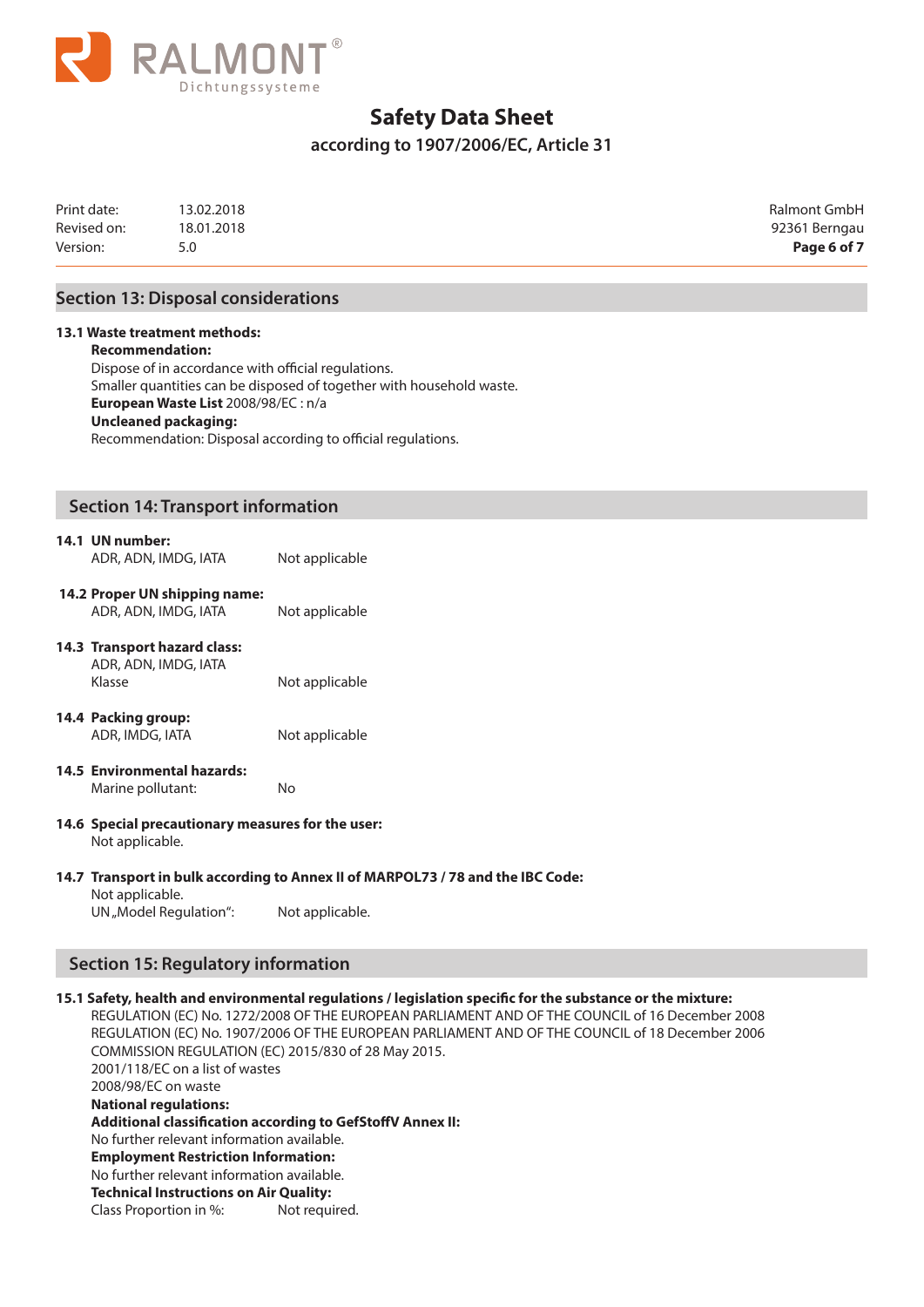

# **according to 1907/2006/EC, Article 31**

| Print date: | 13.02.2018 | Ralmont GmbH  |
|-------------|------------|---------------|
| Revised on: | 18.01.2018 | 92361 Berngau |
| Version:    |            | Page 6 of 7   |

Ralmont GmbH 92361 Berngau

# **Section 13: Disposal considerations**

### **13.1 Waste treatment methods: Recommendation:** Dispose of in accordance with official regulations. Smaller quantities can be disposed of together with household waste. **European Waste List** 2008/98/EC : n/a **Uncleaned packaging:** Recommendation: Disposal according to official regulations.

# **Section 14: Transport information**

| 14.1 UN NUMBER<br>ADR, ADN, IMDG, IATA                | Not applicable |
|-------------------------------------------------------|----------------|
| 14.2 Proper UN shipping name:<br>ADR, ADN, IMDG, IATA | Not applicable |

#### **14.3 Transport hazard class:** ADR, ADN, IMDG, IATA

**14.1 UN number:**

Klasse Not applicable

- **14.4 Packing group:** ADR, IMDG, IATA Not applicable
- **14.5 Environmental hazards:** Marine pollutant: No
- **14.6 Special precautionary measures for the user:** Not applicable.

#### **14.7 Transport in bulk according to Annex II of MARPOL73 / 78 and the IBC Code:**

Not applicable. UN "Model Regulation": Not applicable.

# **Section 15: Regulatory information**

#### **15.1 Safety, health and environmental regulations / legislation specific for the substance or the mixture:**

REGULATION (EC) No. 1272/2008 OF THE EUROPEAN PARLIAMENT AND OF THE COUNCIL of 16 December 2008 REGULATION (EC) No. 1907/2006 OF THE EUROPEAN PARLIAMENT AND OF THE COUNCIL of 18 December 2006 COMMISSION REGULATION (EC) 2015/830 of 28 May 2015. 2001/118/EC on a list of wastes 2008/98/EC on waste **National regulations: Additional classification according to GefStoffV Annex II:** No further relevant information available. **Employment Restriction Information:**  No further relevant information available. **Technical Instructions on Air Quality:** Class Proportion in %: Not required.